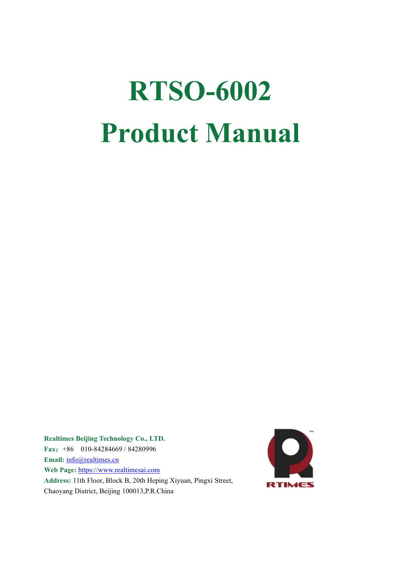# **RTSO-6002 Product Manual**

**Realtimes Beijing Technology Co., LTD. Fax**:+86 010-84284669 / 84280996 **Email:** [info@realtimes.cn](mailto:info@realtimes.cn) **Web Page:** [https://www.realtimesai.com](http://www.realtimes.cn) Address: 11th Floor, Block B, 20th Heping Xiyuan, Pingxi Street, Chaoyang District, Beijing 100013,P.R.China

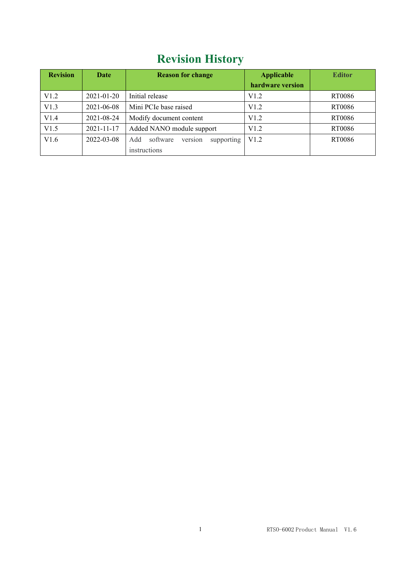# **Revision History**

| <b>Revision</b> | Date       | <b>Reason for change</b>                 | <b>Applicable</b> | <b>Editor</b> |
|-----------------|------------|------------------------------------------|-------------------|---------------|
|                 |            |                                          | hardware version  |               |
| V1.2            | 2021-01-20 | Initial release                          | V1.2              | RT0086        |
| V1.3            | 2021-06-08 | Mini PCIe base raised                    | V1.2              | RT0086        |
| V1.4            | 2021-08-24 | Modify document content                  | V1.2              | RT0086        |
| V1.5            | 2021-11-17 | Added NANO module support                | V1.2              | RT0086        |
| V1.6            | 2022-03-08 | version<br>software<br>supporting<br>Add | V1.2              | RT0086        |
|                 |            | instructions                             |                   |               |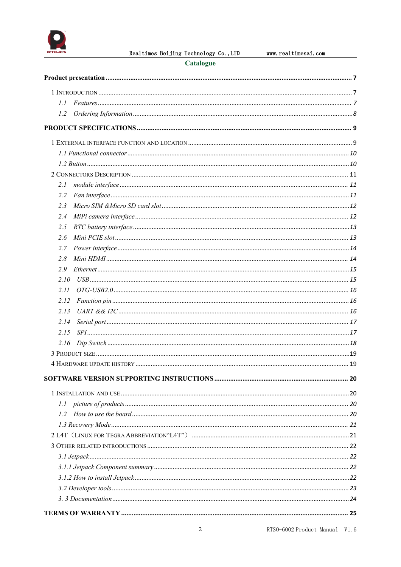

Realtimes Beijing Technology Co., LTD

### Catalogue

| $L\bar{L}$ |  |
|------------|--|
| 1.2        |  |
|            |  |
|            |  |
|            |  |
|            |  |
|            |  |
| 2.I        |  |
| 2.2        |  |
| 2.3        |  |
| 2.4        |  |
| 2.5        |  |
| 2.6        |  |
| 2.7        |  |
| 2.8        |  |
| 2.9        |  |
| 2.10       |  |
| 2.11       |  |
| 2.12       |  |
| 2.13       |  |
| 2.14       |  |
| 2.15       |  |
| 2.16       |  |
|            |  |
|            |  |
|            |  |
|            |  |
|            |  |
| 1.2        |  |
|            |  |
|            |  |
|            |  |
|            |  |
|            |  |
|            |  |
|            |  |
|            |  |
|            |  |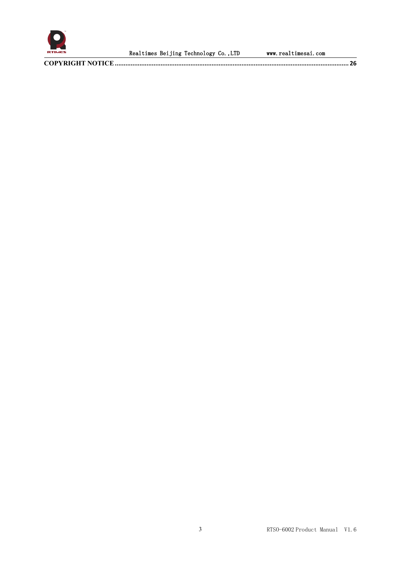

Realtimes Beijing Technology Co., LTD www.realtimesai.com

**COPYRIGHT NOTICE[.....................................................................................................................................](#page-26-0) 26**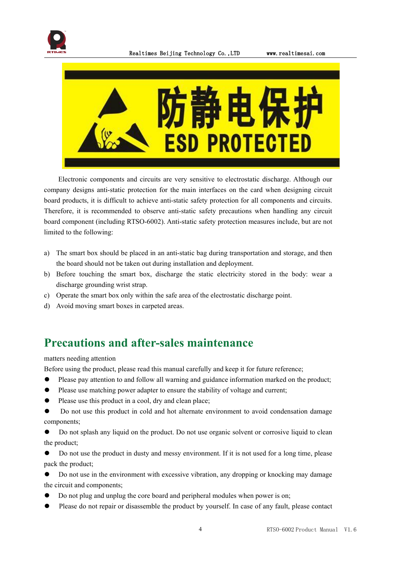



Electronic components and circuits are very sensitive to electrostatic discharge. Although our company designs anti-static protection for the main interfaces on the card when designing circuit board products, it is difficult to achieve anti-static safety protection for all components and circuits. Therefore, it is recommended to observe anti-static safety precautions when handling any circuit board component (including RTSO-6002). Anti-static safety protection measures include, but are not limited to the following:

- a) The smart box should be placed in an anti-static bag during transportation and storage, and then the board should not be taken out during installation and deployment.
- b) Before touching the smart box, discharge the static electricity stored in the body: wear a discharge grounding wrist strap.<br>c) Operate the smart box only within the safe area of the electrostatic discharge point.
- 
- d) Avoid moving smart boxes in carpeted areas.

## **Precautions and after-sales maintenance**

matters needing attention

Before using the product, please read this manual carefully and keep it for future reference;

- ⚫ Please pay attention to and follow all warning and guidance information marked on the product;
- Please use matching power adapter to ensure the stability of voltage and current;
- Please use this product in a cool, dry and clean place;

⚫ Do not use this product in cold and hot alternate environment to avoid condensation damage components;

Do not splash any liquid on the product. Do not use organic solvent or corrosive liquid to clean the product;

⚫ Do not use the product in dusty and messy environment. If it is not used for a long time, please pack the product;

⚫ Do not use in the environment with excessive vibration, any dropping or knocking may damage the circuit and components;

- ⚫ Do not plug and unplug the core board and peripheral modules when power is on;
- Please do not repair or disassemble the product by yourself. In case of any fault, please contact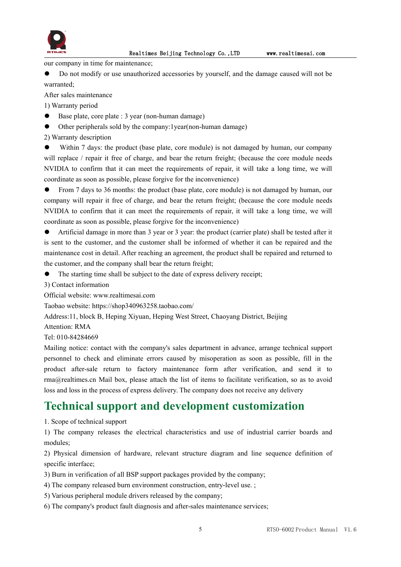

Realtimes Beijing Technology Co.,LTD www.realtimesai.com

our company in time for maintenance;

⚫ Do not modify or use unauthorized accessories by yourself, and the damage caused will not be warranted;

After sales maintenance

1) Warranty period

- $\bullet$  Base plate, core plate : 3 year (non-human damage)
- ⚫ Other peripherals sold by the company:1year(non-human damage)

2) Warranty description

Within 7 days: the product (base plate, core module) is not damaged by human, our company will replace / repair it free of charge, and bear the return freight; (because the core module needs NVIDIA to confirm that it can meet the requirements of repair, it will take a long time, we will coordinate as soon as possible, please forgive for the inconvenience)

● From 7 days to 36 months: the product (base plate, core module) is not damaged by human, our company will repair it free of charge, and bear the return freight; (because the core module needs NVIDIA to confirm that it can meet the requirements of repair, it will take a long time, we will coordinate as soon as possible, please forgive for the inconvenience)

⚫ Artificial damage in more than 3 year or 3 year: the product (carrier plate) shall be tested after it is sent to the customer, and the customer shall be informed of whether it can be repaired and the maintenance cost in detail. After reaching an agreement, the product shall be repaired and returned to the customer, and the company shall bear the return freight;

The starting time shall be subject to the date of express delivery receipt;

3) Contact information

Official website: www.realtimesai.com

Taobao website: https://shop340963258.taobao.com/

Address:11, block B, Heping Xiyuan, Heping West Street, Chaoyang District, Beijing

Attention: RMA

Tel: 010-84284669

Mailing notice: contact with the company's sales department in advance, arrange technical support personnel to check and eliminate errors caused by misoperation as soon as possible, fill in the product after-sale return to factory maintenance form after verification, and send it to rma@realtimes.cn Mail box, please attach the list of items to facilitate verification, so as to avoid loss and loss in the process of express delivery. The company does not receive any delivery

## **Technical support and development customization**

1. Scope of technical support

1) The company releases the electrical characteristics and use of industrial carrier boards and modules;

2) Physical dimension of hardware, relevant structure diagram and line sequence definition of specific interface;

3) Burn in verification of all BSP support packages provided by the company;

- 4) The company released burn environment construction, entry-level use. ;
- 5) Various peripheral module drivers released by the company;
- 6) The company's product fault diagnosis and after-sales maintenance services;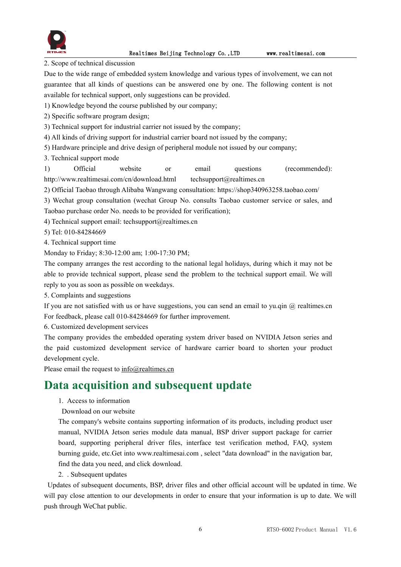

2. Scope of technical discussion

Due to the wide range of embedded system knowledge and various types of involvement, we can not guarantee that all kinds of questions can be answered one by one. The following content is not available for technical support, only suggestions can be provided.

1) Knowledge beyond the course published by our company;

2) Specific software program design;

3) Technical support for industrial carrier not issued by the company;

4) All kinds ofdriving support for industrial carrier board not issued by the company;

5) Hardware principle and drive design of peripheral module not issued by our company;

3. Technical support mode

1) Official website or email questions (recommended): http://www.realtimesai.com/cn/download.html techsupport@realtimes.cn

2) Official Taobao through Alibaba Wangwang consultation: https://shop340963258.taobao.com/

3) Wechat group consultation (wechat Group No. consults Taobao customer service or sales, and

Taobao purchase order No. needs to be provided for verification);

4) Technical support email: techsupport@realtimes.cn

5) Tel: 010-84284669

4. Technical support time

Monday to Friday; 8:30-12:00 am; 1:00-17:30 PM;

The company arranges the rest according to the national legal holidays, during which it may not be able to provide technical support, please send the problem to the technical support email. We will reply to you as soon as possible on weekdays.

5. Complaints and suggestions

If you are not satisfied with us or have suggestions, you can send an email to yu.qin  $\omega$  realtimes.cn For feedback, please call 010-84284669 for further improvement.

6. Customized development services

The company provides the embedded operating system driver based on NVIDIA Jetson series and the paid customized development service of hardware carrier board to shorten your product development cycle.

Please email the request to [info@realtimes.cn](mailto:info@realtimes.cn)

## **Data acquisition and subsequent update**

1. Access to information

Download on our website

The company's website contains supporting information of its products, including product user manual, NVIDIA Jetson series module data manual, BSP driver support package for carrier board, supporting peripheral driver files, interface test verification method, FAQ, system burning guide, etc.Get into www.realtimesai.com , select "data download" in the navigation bar, find the data you need, and click download.

2. . Subsequent updates

Updates of subsequent documents, BSP, driver files and other official account will be updated in time. We will pay close attention to our developments in order to ensure that your information is up to date. We will push through WeChat public.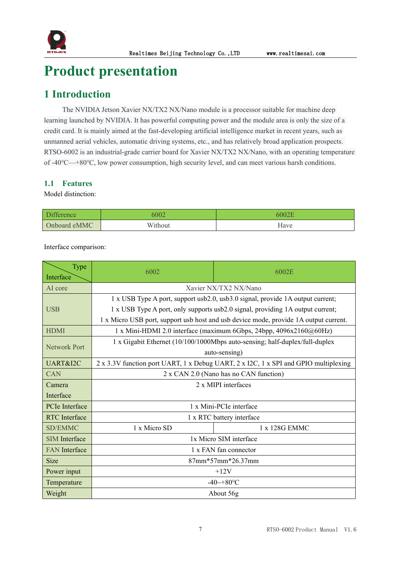

# <span id="page-7-0"></span>**Product presentation**

## <span id="page-7-1"></span>**1 Introduction**

The NVIDIA Jetson Xavier NX/TX2 NX/Nano module is a processor suitable for machine deep learning launched by NVIDIA. It has powerful computing power and the module area is only the size of a credit card. It is mainly aimed at the fast-developing artificial intelligence market in recent years, such as unmanned aerial vehicles, automatic driving systems, etc., and has relatively broad application prospects. RTSO-6002 is an industrial-grade carrier board for Xavier NX/TX2 NX/Nano, with an operating temperature of -40℃—+80℃, low power consumption, high security level, and can meet various harsh conditions.

## <span id="page-7-2"></span>**1.1 Features**

Model distinction:

| Diff         | 5002    | ററാ  |
|--------------|---------|------|
| Onboard eMMC | Without | Have |

Interface comparison:

| Type                  | 6002                                                                           | 6002E                                                                                |  |  |  |  |  |
|-----------------------|--------------------------------------------------------------------------------|--------------------------------------------------------------------------------------|--|--|--|--|--|
| Interface             |                                                                                |                                                                                      |  |  |  |  |  |
| AI core               | Xavier NX/TX2 NX/Nano                                                          |                                                                                      |  |  |  |  |  |
|                       | 1 x USB Type A port, support usb2.0, usb3.0 signal, provide 1A output current; |                                                                                      |  |  |  |  |  |
| <b>USB</b>            | 1 x USB Type A port, only supports usb2.0 signal, providing 1A output current; |                                                                                      |  |  |  |  |  |
|                       |                                                                                | 1 x Micro USB port, support usb host and usb device mode, provide 1A output current. |  |  |  |  |  |
| <b>HDMI</b>           |                                                                                | 1 x Mini-HDMI 2.0 interface (maximum 6Gbps, 24bpp, $4096x2160@60Hz$ )                |  |  |  |  |  |
| <b>Network Port</b>   |                                                                                | 1 x Gigabit Ethernet (10/100/1000Mbps auto-sensing; half-duplex/full-duplex          |  |  |  |  |  |
|                       | auto-sensing)                                                                  |                                                                                      |  |  |  |  |  |
| UART&I2C              |                                                                                | 2 x 3.3V function port UART, 1 x Debug UART, 2 x I2C, 1 x SPI and GPIO multiplexing  |  |  |  |  |  |
| <b>CAN</b>            | 2 x CAN 2.0 (Nano has no CAN function)                                         |                                                                                      |  |  |  |  |  |
| Camera                | 2 x MIPI interfaces                                                            |                                                                                      |  |  |  |  |  |
| Interface             |                                                                                |                                                                                      |  |  |  |  |  |
| <b>PCIe</b> Interface | 1 x Mini-PCIe interface                                                        |                                                                                      |  |  |  |  |  |
| <b>RTC</b> Interface  |                                                                                | 1 x RTC battery interface                                                            |  |  |  |  |  |
| <b>SD/EMMC</b>        | 1 x Micro SD                                                                   | 1 x 128G EMMC                                                                        |  |  |  |  |  |
| <b>SIM</b> Interface  | 1x Micro SIM interface                                                         |                                                                                      |  |  |  |  |  |
| <b>FAN</b> Interface  | 1 x FAN fan connector                                                          |                                                                                      |  |  |  |  |  |
| <b>Size</b>           | $87mm*57mm*26.37mm$                                                            |                                                                                      |  |  |  |  |  |
| Power input           | $+12V$                                                                         |                                                                                      |  |  |  |  |  |
| Temperature           |                                                                                | $-40$ ~+80°C                                                                         |  |  |  |  |  |
| Weight                | About 56g                                                                      |                                                                                      |  |  |  |  |  |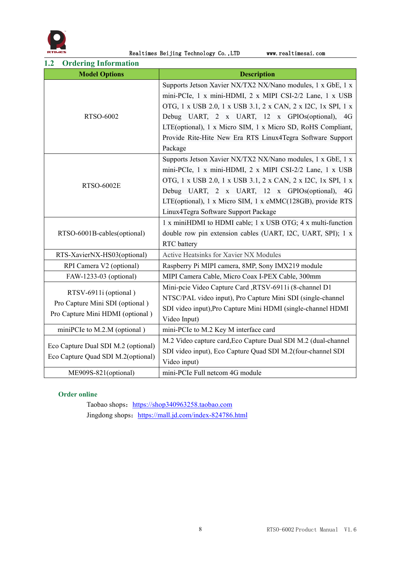

Realtimes Beijing Technology Co., LTD www.realtimesai.com

<span id="page-8-0"></span>**1.2 Ordering Information**

| Or act the information<br><b>Model Options</b> | <b>Description</b>                                             |  |  |  |
|------------------------------------------------|----------------------------------------------------------------|--|--|--|
|                                                | Supports Jetson Xavier NX/TX2 NX/Nano modules, 1 x GbE, 1 x    |  |  |  |
|                                                | mini-PCIe, 1 x mini-HDMI, 2 x MIPI CSI-2/2 Lane, 1 x USB       |  |  |  |
|                                                | OTG, 1 x USB 2.0, 1 x USB 3.1, 2 x CAN, 2 x I2C, 1x SPI, 1 x   |  |  |  |
| RTSO-6002                                      | Debug UART, 2 x UART, 12 x GPIOs(optional), 4G                 |  |  |  |
|                                                | LTE(optional), 1 x Micro SIM, 1 x Micro SD, RoHS Compliant,    |  |  |  |
|                                                | Provide Rite-Hite New Era RTS Linux4Tegra Software Support     |  |  |  |
|                                                | Package                                                        |  |  |  |
|                                                | Supports Jetson Xavier NX/TX2 NX/Nano modules, 1 x GbE, 1 x    |  |  |  |
|                                                | mini-PCIe, 1 x mini-HDMI, 2 x MIPI CSI-2/2 Lane, 1 x USB       |  |  |  |
|                                                | OTG, 1 x USB 2.0, 1 x USB 3.1, 2 x CAN, 2 x I2C, 1x SPI, 1 x   |  |  |  |
| <b>RTSO-6002E</b>                              | Debug UART, 2 x UART, 12 x GPIOs(optional), 4G                 |  |  |  |
|                                                | LTE(optional), 1 x Micro SIM, 1 x eMMC(128GB), provide RTS     |  |  |  |
|                                                | Linux4Tegra Software Support Package                           |  |  |  |
|                                                | 1 x miniHDMI to HDMI cable; 1 x USB OTG; 4 x multi-function    |  |  |  |
| RTSO-6001B-cables(optional)                    | double row pin extension cables (UART, I2C, UART, SPI); 1 x    |  |  |  |
|                                                | RTC battery                                                    |  |  |  |
| RTS-XavierNX-HS03(optional)                    | <b>Active Heatsinks for Xavier NX Modules</b>                  |  |  |  |
| RPI Camera V2 (optional)                       | Raspberry Pi MIPI camera, 8MP, Sony IMX219 module              |  |  |  |
| FAW-1233-03 (optional)                         | MIPI Camera Cable, Micro Coax I-PEX Cable, 300mm               |  |  |  |
|                                                | Mini-pcie Video Capture Card ,RTSV-6911i (8-channel D1         |  |  |  |
| RTSV-6911i (optional)                          | NTSC/PAL video input), Pro Capture Mini SDI (single-channel    |  |  |  |
| Pro Capture Mini SDI (optional)                | SDI video input), Pro Capture Mini HDMI (single-channel HDMI   |  |  |  |
| Pro Capture Mini HDMI (optional)               | Video Input)                                                   |  |  |  |
| miniPCIe to M.2.M (optional)                   | mini-PCIe to M.2 Key M interface card                          |  |  |  |
|                                                | M.2 Video capture card, Eco Capture Dual SDI M.2 (dual-channel |  |  |  |
| Eco Capture Dual SDI M.2 (optional)            | SDI video input), Eco Capture Quad SDI M.2(four-channel SDI    |  |  |  |
| Eco Capture Quad SDI M.2(optional)             | Video input)                                                   |  |  |  |
| ME909S-821(optional)                           | mini-PCIe Full netcom 4G module                                |  |  |  |

## **Order online**

[Taobao](file:///D:/Users/10096/AppData/Local/Youdao/Dict/8.9.5.0/resultui/html/index.html) [shop](file:///D:/Users/10096/AppData/Local/Youdao/Dict/8.9.5.0/resultui/html/index.html)s: <https://shop340963258.taobao.com> Jingdong shops: <https://mall.jd.com/index-824786.html>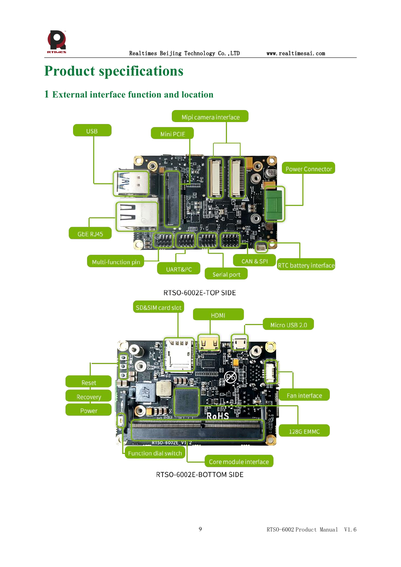

# <span id="page-9-0"></span>**Product specifications**

## <span id="page-9-1"></span>**1 External interface function and location**



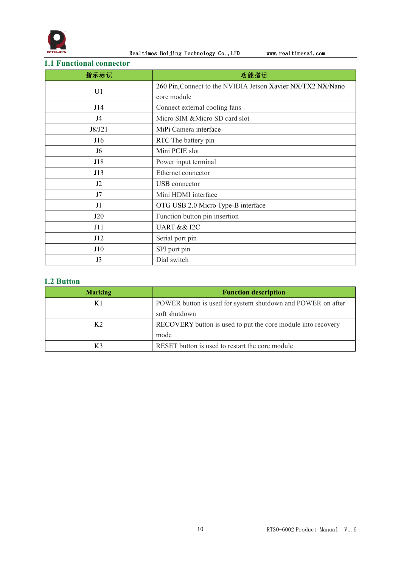

Realtimes Beijing Technology Co., LTD www.realtimesai.com

## <span id="page-10-0"></span>**1.1 Functional connector**

| 指示标识           | 功能描述                                                        |  |  |
|----------------|-------------------------------------------------------------|--|--|
| U1             | 260 Pin, Connect to the NVIDIA Jetson Xavier NX/TX2 NX/Nano |  |  |
|                | core module                                                 |  |  |
| J14            | Connect external cooling fans                               |  |  |
| J4             | Micro SIM & Micro SD card slot                              |  |  |
| J8/J21         | MiPi Camera interface                                       |  |  |
| J16            | RTC The battery pin                                         |  |  |
| J <sub>6</sub> | Mini PCIE slot                                              |  |  |
| J18            | Power input terminal                                        |  |  |
| J13            | Ethernet connector                                          |  |  |
| J2             | USB connector                                               |  |  |
| J7             | Mini HDMI interface                                         |  |  |
| J1             | OTG USB 2.0 Micro Type-B interface                          |  |  |
| J20            | Function button pin insertion                               |  |  |
| J11            | <b>UART &amp;&amp; I2C</b>                                  |  |  |
| J12            | Serial port pin                                             |  |  |
| J10            | SPI port pin                                                |  |  |
| J3             | Dial switch                                                 |  |  |

## <span id="page-10-1"></span>**1.2 Button**

| <b>Marking</b> | <b>Function description</b>                                  |  |
|----------------|--------------------------------------------------------------|--|
| K1             | POWER button is used for system shutdown and POWER on after  |  |
|                | soft shutdown                                                |  |
| K <sub>2</sub> | RECOVERY button is used to put the core module into recovery |  |
|                | mode                                                         |  |
| K٩             | RESET button is used to restart the core module              |  |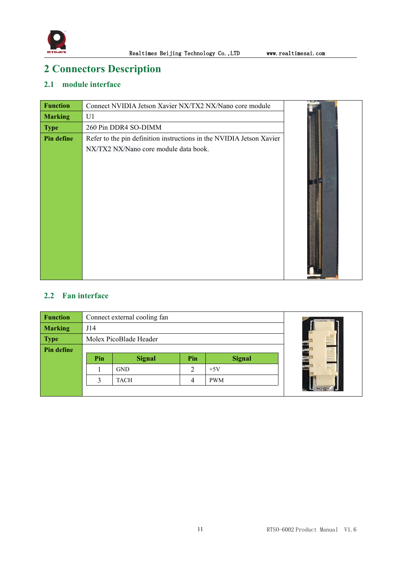

# <span id="page-11-0"></span>**2 Connectors Description**

## <span id="page-11-1"></span>**2.1 module interface**

| <b>Function</b>   | Connect NVIDIA Jetson Xavier NX/TX2 NX/Nano core module                                                       |  |
|-------------------|---------------------------------------------------------------------------------------------------------------|--|
| <b>Marking</b>    | U1                                                                                                            |  |
| <b>Type</b>       | 260 Pin DDR4 SO-DIMM                                                                                          |  |
| <b>Pin define</b> | Refer to the pin definition instructions in the NVIDIA Jetson Xavier<br>NX/TX2 NX/Nano core module data book. |  |

## <span id="page-11-2"></span>**2.2 Fan interface**

| <b>Function</b> | Connect external cooling fan |                        |     |               |  |  |
|-----------------|------------------------------|------------------------|-----|---------------|--|--|
| <b>Marking</b>  | J14                          |                        |     |               |  |  |
| <b>Type</b>     |                              | Molex PicoBlade Header |     |               |  |  |
| Pin define      |                              |                        |     |               |  |  |
|                 | Pin                          | <b>Signal</b>          | Pin | <b>Signal</b> |  |  |
|                 |                              | <b>GND</b>             |     | $+5V$         |  |  |
|                 |                              | <b>TACH</b>            |     | <b>PWM</b>    |  |  |
|                 |                              |                        |     |               |  |  |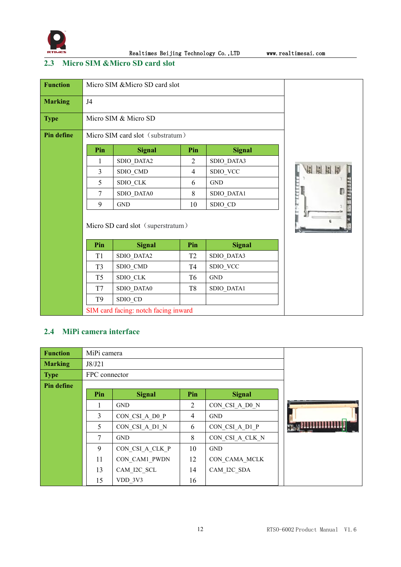

Realtimes Beijing Technology Co.,LTD www.realtimesai.com

## <span id="page-12-0"></span>**2.3 Micro SIM &Micro SD cardslot**

| <b>Function</b>   |                | Micro SIM & Micro SD card slot       |                |               |  |
|-------------------|----------------|--------------------------------------|----------------|---------------|--|
| <b>Marking</b>    | J <sub>4</sub> |                                      |                |               |  |
| <b>Type</b>       |                | Micro SIM & Micro SD                 |                |               |  |
| <b>Pin define</b> |                | Micro SIM card slot (substratum)     |                |               |  |
|                   | Pin            | <b>Signal</b>                        | Pin            | <b>Signal</b> |  |
|                   | 1              | SDIO_DATA2                           | $\overline{2}$ | SDIO_DATA3    |  |
|                   | 3              | SDIO_CMD                             | $\overline{4}$ | SDIO_VCC      |  |
|                   | 5              | SDIO_CLK                             | 6              | <b>GND</b>    |  |
|                   | $\tau$         | SDIO_DATA0                           | 8              | SDIO_DATA1    |  |
|                   | 9              | <b>GND</b>                           | 10             | SDIO_CD       |  |
|                   |                | Micro SD card slot (superstratum)    |                |               |  |
|                   | Pin            | <b>Signal</b>                        | Pin            | <b>Signal</b> |  |
|                   | T1             | SDIO_DATA2                           | T <sub>2</sub> | SDIO_DATA3    |  |
|                   | T <sub>3</sub> | SDIO_CMD                             | T <sub>4</sub> | SDIO_VCC      |  |
|                   | T <sub>5</sub> | SDIO_CLK                             | T <sub>6</sub> | <b>GND</b>    |  |
|                   | T7             | SDIO_DATA0                           | T <sub>8</sub> | SDIO_DATA1    |  |
|                   | T <sub>9</sub> | SDIO_CD                              |                |               |  |
|                   |                | SIM card facing: notch facing inward |                |               |  |

## <span id="page-12-1"></span>**2.4 MiPi camera interface**

| <b>Function</b> | MiPi camera   |                 |                |                 |  |
|-----------------|---------------|-----------------|----------------|-----------------|--|
| <b>Marking</b>  | J8/J21        |                 |                |                 |  |
| <b>Type</b>     | FPC connector |                 |                |                 |  |
| Pin define      |               |                 |                |                 |  |
|                 | Pin           | <b>Signal</b>   | Pin            | <b>Signal</b>   |  |
|                 |               | <b>GND</b>      | $\overline{2}$ | CON CSI A D0 N  |  |
|                 | 3             | CON CSI A D0 P  | $\overline{4}$ | <b>GND</b>      |  |
|                 | 5             | CON CSI A D1 N  | 6              | CON CSI A D1 P  |  |
|                 | 7             | <b>GND</b>      | 8              | CON CSI A CLK N |  |
|                 | 9             | CON CSI A CLK P | 10             | <b>GND</b>      |  |
|                 | 11            | CON CAM1 PWDN   | 12             | CON CAMA MCLK   |  |
|                 | 13            | CAM I2C SCL     | 14             | CAM I2C SDA     |  |
|                 | 15            | VDD 3V3         | 16             |                 |  |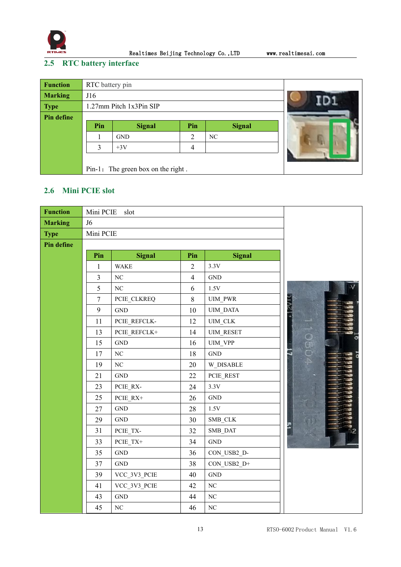

Realtimes Beijing Technology Co., LTD www.realtimesai.com

## <span id="page-13-0"></span>**2.5 RTC battery interface**

| <b>Function</b> | RTC battery pin |                                    |   |    |  |
|-----------------|-----------------|------------------------------------|---|----|--|
| <b>Marking</b>  | J16             |                                    |   |    |  |
| <b>Type</b>     |                 | 1.27mm Pitch 1x3Pin SIP            |   |    |  |
| Pin define      |                 |                                    |   |    |  |
|                 | Pin             | <b>Signal</b>                      |   |    |  |
|                 |                 | <b>GND</b>                         | 2 | NC |  |
|                 | 3               | $+3V$                              |   |    |  |
|                 |                 |                                    |   |    |  |
|                 |                 | Pin-1: The green box on the right. |   |    |  |

## <span id="page-13-1"></span>**2.6 Mini PCIE slot**

| <b>Function</b>   | Mini PCIE      | slot                 |                |                      |               |
|-------------------|----------------|----------------------|----------------|----------------------|---------------|
| <b>Marking</b>    | J <sub>6</sub> |                      |                |                      |               |
| <b>Type</b>       | Mini PCIE      |                      |                |                      |               |
| <b>Pin define</b> |                |                      |                |                      |               |
|                   | Pin            | <b>Signal</b>        | Pin            | <b>Signal</b>        |               |
|                   | $\mathbf{1}$   | <b>WAKE</b>          | $\overline{2}$ | 3.3V                 |               |
|                   | $\overline{3}$ | $\rm NC$             | $\overline{4}$ | $\operatorname{GND}$ |               |
|                   | 5              | $\rm NC$             | 6              | $1.5\mathrm{V}$      |               |
|                   | $\tau$         | PCIE CLKREQ          | 8              | UIM_PWR              |               |
|                   | 9              | $\operatorname{GND}$ | $10\,$         | UIM_DATA             |               |
|                   | 11             | PCIE_REFCLK-         | 12             | $UIM\_CLK$           |               |
|                   | 13             | PCIE REFCLK+         | 14             | <b>UIM_RESET</b>     |               |
|                   | 15             | $\operatorname{GND}$ | 16             | <b>UIM VPP</b>       | $\frac{1}{2}$ |
|                   | 17             | $\rm NC$             | 18             | $\operatorname{GND}$ |               |
|                   | 19             | $\rm NC$             | 20             | W_DISABLE            |               |
|                   | 21             | $\operatorname{GND}$ | 22             | PCIE_REST            |               |
|                   | 23             | PCIE_RX-             | 24             | 3.3V                 |               |
|                   | 25             | PCIE_RX+             | 26             | $\operatorname{GND}$ |               |
|                   | 27             | $\operatorname{GND}$ | 28             | $1.5\mathrm{V}$      |               |
|                   | 29             | $\operatorname{GND}$ | 30             | SMB_CLK              |               |
|                   | 31             | PCIE_TX-             | 32             | SMB_DAT              |               |
|                   | 33             | $PCIE_TX +$          | 34             | <b>GND</b>           |               |
|                   | 35             | $\operatorname{GND}$ | 36             | CON_USB2_D-          |               |
|                   | 37             | $\operatorname{GND}$ | 38             | CON_USB2_D+          |               |
|                   | 39             | VCC_3V3_PCIE         | 40             | $\operatorname{GND}$ |               |
|                   | 41             | VCC_3V3_PCIE         | 42             | $\rm NC$             |               |
|                   | 43             | $\operatorname{GND}$ | 44             | $\rm NC$             |               |
|                   | 45             | $\rm NC$             | 46             | $\rm NC$             |               |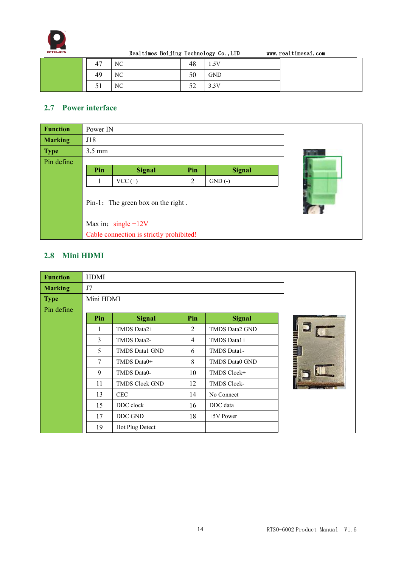

| HES |    | Realtimes Beijing Technology Co., LTD |    |            | www.realtimesai.com |
|-----|----|---------------------------------------|----|------------|---------------------|
|     |    | NC                                    | 48 | 1.5V       |                     |
|     | 49 | NC.                                   | 50 | <b>GND</b> |                     |
|     |    | NC.                                   |    | 3.3V       |                     |

## <span id="page-14-0"></span>**2.7 Power interface**

| <b>Function</b> | Power IN                           |                                          |     |               |  |  |
|-----------------|------------------------------------|------------------------------------------|-----|---------------|--|--|
| <b>Marking</b>  | J18                                |                                          |     |               |  |  |
| <b>Type</b>     | $3.5 \text{ mm}$                   |                                          |     |               |  |  |
| Pin define      |                                    |                                          |     |               |  |  |
|                 | Pin                                | <b>Signal</b>                            | Pin | <b>Signal</b> |  |  |
|                 |                                    | $VCC (+)$                                | 2   | $GND(-)$      |  |  |
|                 | Pin-1: The green box on the right. |                                          |     |               |  |  |
|                 |                                    | Max in: $single + 12V$                   |     |               |  |  |
|                 |                                    | Cable connection is strictly prohibited! |     |               |  |  |

## <span id="page-14-1"></span>**2.8 Mini HDMI**

| <b>Function</b> | <b>HDMI</b> |                       |                |                       |  |
|-----------------|-------------|-----------------------|----------------|-----------------------|--|
| <b>Marking</b>  | J7          |                       |                |                       |  |
| <b>Type</b>     | Mini HDMI   |                       |                |                       |  |
| Pin define      |             |                       |                |                       |  |
|                 | Pin         | <b>Signal</b>         | Pin            | <b>Signal</b>         |  |
|                 |             | TMDS Data2+           | 2              | TMDS Data2 GND        |  |
|                 | 3           | TMDS Data2-           | $\overline{4}$ | TMDS Data1+           |  |
|                 | 5           | <b>TMDS Data1 GND</b> | 6              | TMDS Data1-           |  |
|                 | 7           | TMDS Data0+           | 8              | <b>TMDS Data0 GND</b> |  |
|                 | 9           | TMDS Data0-           | 10             | TMDS Clock+           |  |
|                 | 11          | <b>TMDS Clock GND</b> | 12             | <b>TMDS Clock-</b>    |  |
|                 | 13          | <b>CEC</b>            | 14             | No Connect            |  |
|                 | 15          | DDC clock             | 16             | DDC data              |  |
|                 | 17          | DDC GND               | 18             | $+5V$ Power           |  |
|                 | 19          | Hot Plug Detect       |                |                       |  |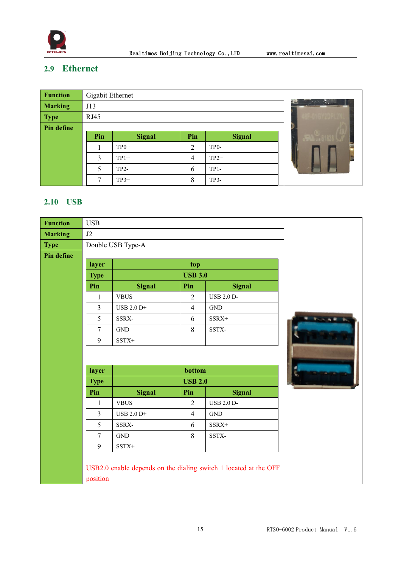

Realtimes Beijing Technology Co.,LTD www.realtimesai.com

## <span id="page-15-0"></span>**2.9 Ethernet**

| <b>Function</b> | Gigabit Ethernet |               |                |                   |                                                                                            |
|-----------------|------------------|---------------|----------------|-------------------|--------------------------------------------------------------------------------------------|
| <b>Marking</b>  | J13              |               |                |                   | Ja.<br>$\mathcal{L}_{\mathcal{A}} = \mathcal{L}_{\mathcal{A}} - \mathcal{L}_{\mathcal{B}}$ |
| <b>Type</b>     | RJ45             |               |                |                   |                                                                                            |
| Pin define      |                  |               |                |                   |                                                                                            |
|                 | Pin              | <b>Signal</b> | Pin            | <b>Signal</b>     |                                                                                            |
|                 |                  | $TP0+$        | 2              | TP <sub>0</sub> - |                                                                                            |
|                 | 3                | $TP1+$        | $\overline{4}$ | $TP2+$            |                                                                                            |
|                 | 5                | $TP2-$        | 6              | $TP1-$            |                                                                                            |
|                 | 7                | $TP3+$        | 8              | TP3-              |                                                                                            |

## <span id="page-15-1"></span>**2.10 USB**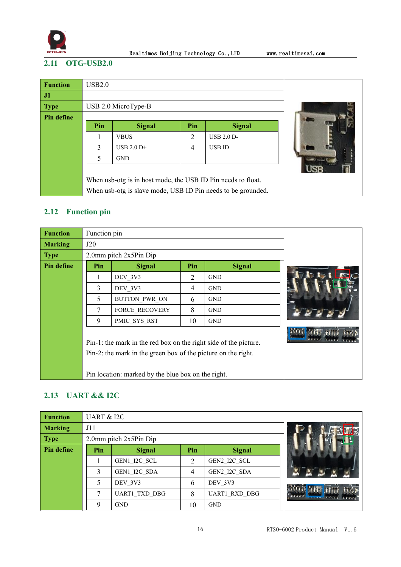

Realtimes Beijing Technology Co., LTD www.realtimesai.com

## <span id="page-16-0"></span>**2.11 OTG-USB2.0**

| <b>Function</b> | USB2.0 |                                                              |                |                   |  |
|-----------------|--------|--------------------------------------------------------------|----------------|-------------------|--|
| J1              |        |                                                              |                |                   |  |
| <b>Type</b>     |        | USB 2.0 MicroType-B                                          |                |                   |  |
| Pin define      |        |                                                              |                |                   |  |
|                 | Pin    | <b>Signal</b>                                                | Pin            | <b>Signal</b>     |  |
|                 |        | <b>VBUS</b>                                                  | $\overline{2}$ | <b>USB 2.0 D-</b> |  |
|                 | 3      | $\text{USB } 2.0 \text{ D+}$                                 | 4              | <b>USB ID</b>     |  |
|                 | 5      | <b>GND</b>                                                   |                |                   |  |
|                 |        |                                                              |                |                   |  |
|                 |        | When usb-otg is in host mode, the USB ID Pin needs to float. |                |                   |  |
|                 |        | When usb-otg is slave mode, USB ID Pin needs to be grounded. |                |                   |  |

## <span id="page-16-1"></span>**2.12 Function pin**

| <b>Function</b> | Function pin |                                                                                                                                                                                         |     |               |  |
|-----------------|--------------|-----------------------------------------------------------------------------------------------------------------------------------------------------------------------------------------|-----|---------------|--|
| <b>Marking</b>  | J20          |                                                                                                                                                                                         |     |               |  |
| <b>Type</b>     |              | 2.0mm pitch 2x5Pin Dip                                                                                                                                                                  |     |               |  |
| Pin define      | Pin          | <b>Signal</b>                                                                                                                                                                           | Pin | <b>Signal</b> |  |
|                 |              | DEV 3V3                                                                                                                                                                                 | 2   | <b>GND</b>    |  |
|                 | 3            | DEV 3V3                                                                                                                                                                                 | 4   | <b>GND</b>    |  |
|                 | 5            | BUTTON PWR ON                                                                                                                                                                           | 6   | <b>GND</b>    |  |
|                 | 7            | FORCE RECOVERY                                                                                                                                                                          | 8   | <b>GND</b>    |  |
|                 | 9            | PMIC SYS RST                                                                                                                                                                            | 10  | <b>GND</b>    |  |
|                 |              | Pin-1: the mark in the red box on the right side of the picture.<br>Pin-2: the mark in the green box of the picture on the right.<br>Pin location: marked by the blue box on the right. |     |               |  |

## <span id="page-16-2"></span>**2.13 UART && I2C**

| <b>Function</b> | <b>UART &amp; I2C</b> |                             |     |                      |  |
|-----------------|-----------------------|-----------------------------|-----|----------------------|--|
| <b>Marking</b>  | J11                   |                             |     |                      |  |
| <b>Type</b>     |                       | $2.0$ mm pitch $2x5Pin$ Dip |     |                      |  |
| Pin define      | Pin                   | <b>Signal</b>               | Pin | <b>Signal</b>        |  |
|                 |                       | GEN1 I2C SCL                | 2   | GEN2 I2C SCL         |  |
|                 | 3                     | GEN1 I2C SDA                | 4   | GEN2 I2C SDA         |  |
|                 |                       | DEV 3V3                     | 6   | DEV 3V3              |  |
|                 | 7                     | <b>UART1 TXD DBG</b>        | 8   | <b>UART1 RXD DBG</b> |  |
|                 | $\mathbf Q$           | <b>GND</b>                  | 10  | <b>GND</b>           |  |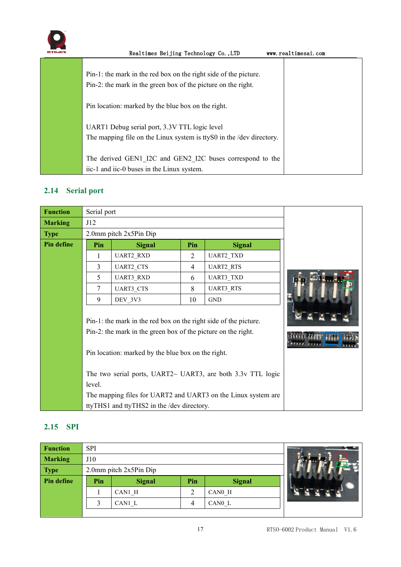

| ᇹ | Realtimes Beijing Technology Co., LTD                                 | www.realtimesai.com |
|---|-----------------------------------------------------------------------|---------------------|
|   |                                                                       |                     |
|   | Pin-1: the mark in the red box on the right side of the picture.      |                     |
|   | Pin-2: the mark in the green box of the picture on the right.         |                     |
|   |                                                                       |                     |
|   | Pin location: marked by the blue box on the right.                    |                     |
|   |                                                                       |                     |
|   | UART1 Debug serial port, 3.3V TTL logic level                         |                     |
|   | The mapping file on the Linux system is tty S0 in the /dev directory. |                     |
|   |                                                                       |                     |
|   | The derived GEN1 I2C and GEN2 I2C buses correspond to the             |                     |
|   | iic-1 and iic-0 buses in the Linux system.                            |                     |

## <span id="page-17-0"></span>**2.14 Serial port**

| <b>Function</b> | Serial port |                                                                                                                                                                                         |     |                                                               |  |
|-----------------|-------------|-----------------------------------------------------------------------------------------------------------------------------------------------------------------------------------------|-----|---------------------------------------------------------------|--|
| <b>Marking</b>  | J12         |                                                                                                                                                                                         |     |                                                               |  |
| <b>Type</b>     |             | 2.0mm pitch 2x5Pin Dip                                                                                                                                                                  |     |                                                               |  |
| Pin define      | Pin         | <b>Signal</b>                                                                                                                                                                           | Pin | <b>Signal</b>                                                 |  |
|                 | 1           | UART2_RXD                                                                                                                                                                               | 2   | <b>UART2 TXD</b>                                              |  |
|                 | 3           | <b>UART2 CTS</b>                                                                                                                                                                        | 4   | <b>UART2_RTS</b>                                              |  |
|                 | 5           | <b>UART3 RXD</b>                                                                                                                                                                        | 6   | <b>UART3 TXD</b>                                              |  |
|                 | $\tau$      | <b>UART3 CTS</b>                                                                                                                                                                        | 8   | <b>UART3 RTS</b>                                              |  |
|                 | 9           | DEV 3V3                                                                                                                                                                                 | 10  | <b>GND</b>                                                    |  |
|                 |             | Pin-1: the mark in the red box on the right side of the picture.<br>Pin-2: the mark in the green box of the picture on the right.<br>Pin location: marked by the blue box on the right. |     | The two serial ports, UART2~ UART3, are both 3.3v TTL logic   |  |
|                 | level.      |                                                                                                                                                                                         |     |                                                               |  |
|                 |             |                                                                                                                                                                                         |     | The mapping files for UART2 and UART3 on the Linux system are |  |
|                 |             | ttyTHS1 and ttyTHS2 in the /dev directory.                                                                                                                                              |     |                                                               |  |

## <span id="page-17-1"></span>**2.15 SPI**

| <b>Function</b> | <b>SPI</b> |                             |                |               |  |
|-----------------|------------|-----------------------------|----------------|---------------|--|
| <b>Marking</b>  | J10        |                             |                |               |  |
| <b>Type</b>     |            | $2.0$ mm pitch $2x5Pin$ Dip |                |               |  |
| Pin define      | Pin        |                             |                |               |  |
|                 |            | <b>Signal</b>               | Pin            | <b>Signal</b> |  |
|                 |            | CAN1 H                      | $\overline{2}$ | CAN0 H        |  |
|                 | ◠          | CAN1 L                      | 4              | CANO L        |  |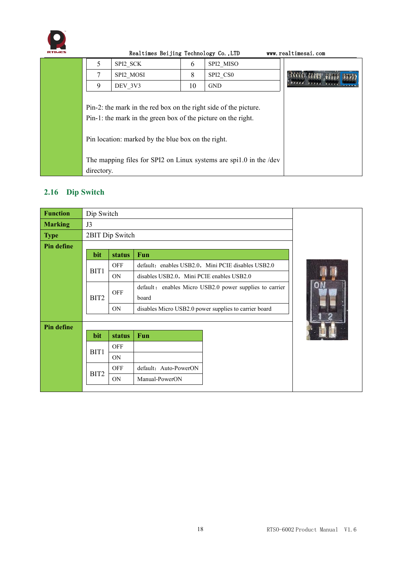

# Realtimes Beijing Technology Co., LTD www.realtimesai.com  $5$  SPI2 SCK 6 SPI2 MISO  $\begin{array}{|c|c|c|c|c|c|}\n\hline\n\text{SPI2}\text{MOSI} & \text{S} & \text{SPI2}\text{CSO} \\
\hline\n\text{O} & \text{DEV} & \text{3V3} & \text{10} & \text{GND} \\
\hline\n\end{array}$ 9  $DEV_3V3$  10 GND Pin-2: the mark in the red box on the right side of the picture. Pin-1: the mark in the green box of the picture on the right. Pin location: marked by the blue box on the right. The mapping files for SPI2 on Linux systems are spi1.0 in the /dev directory.

## <span id="page-18-0"></span>**2.16 Dip Switch**

| <b>Function</b>   | Dip Switch      |            |                                                         |  |
|-------------------|-----------------|------------|---------------------------------------------------------|--|
| <b>Marking</b>    | J3              |            |                                                         |  |
| <b>Type</b>       | 2BIT Dip Switch |            |                                                         |  |
| <b>Pin define</b> |                 |            |                                                         |  |
|                   | bit             | status     | Fun                                                     |  |
|                   | BIT1            | OFF        | default: enables USB2.0, Mini PCIE disables USB2.0      |  |
|                   |                 | <b>ON</b>  | disables USB2.0, Mini PCIE enables USB2.0               |  |
|                   | BIT2            | <b>OFF</b> | default: enables Micro USB2.0 power supplies to carrier |  |
|                   |                 |            | board                                                   |  |
|                   |                 | <b>ON</b>  | disables Micro USB2.0 power supplies to carrier board   |  |
|                   |                 |            |                                                         |  |
| <b>Pin define</b> |                 |            |                                                         |  |
|                   | bit             | status     | Fun                                                     |  |
|                   | BIT1            | <b>OFF</b> |                                                         |  |
|                   |                 | <b>ON</b>  |                                                         |  |
|                   | BIT2            | <b>OFF</b> | default: Auto-PowerON                                   |  |
|                   |                 | <b>ON</b>  | Manual-PowerON                                          |  |
|                   |                 |            |                                                         |  |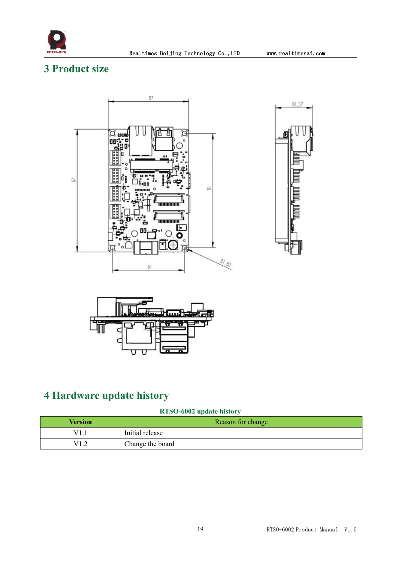

## <span id="page-19-0"></span>**3 Product size**







# <span id="page-19-1"></span>**4 Hardware update history**

## **RTSO-6002 update history**

| Version                                 | Reason for change |
|-----------------------------------------|-------------------|
| V1                                      | Initial release   |
| V1 2<br>$\overline{1}$ . $\overline{2}$ | Change the board  |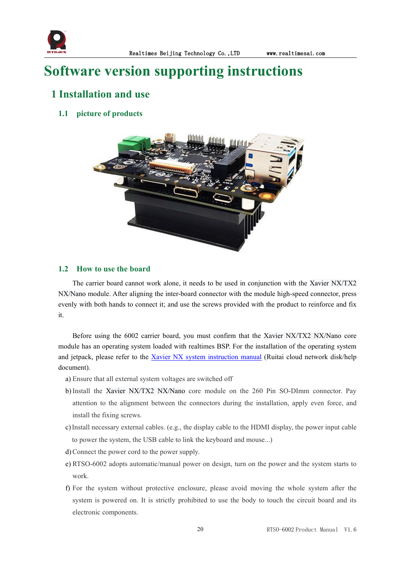

# <span id="page-20-0"></span>**Software version supporting instructions**

## <span id="page-20-1"></span>**1 Installation and use**

## <span id="page-20-2"></span>**1.1 picture of products**



#### <span id="page-20-3"></span>**1.2 How to use the board**

The carrier board cannot work alone, it needs to be used in conjunction with the Xavier NX/TX2 NX/Nano module. After aligning the inter-board connector with the module high-speed connector, press evenly with both hands to connect it; and use the screws provided with the product to reinforce and fix it.

Before using the 6002 carrier board, you must confirm that the Xavier NX/TX2 NX/Nano core module has an operating system loaded with realtimes BSP. For the installation of the operating system and jetpack, please refer to the Xavier NX system [instruction](http://yun.realtimes.cn/) manual (Ruitai cloud network disk/help document).

- a) Ensure that all external system voltages are switched off
- b)Install the Xavier NX/TX2 NX/Nano core module on the 260 Pin SO-DImm connector. Pay attention to the alignment between the connectors during the installation, apply even force, and install the fixing screws.
- c)Install necessary external cables. (e.g., the display cable to the HDMI display, the power input cable to power the system, the USB cable to link the keyboard and mouse...)
- d)Connect the power cord to the power supply.
- e) RTSO-6002 adopts automatic/manual power on design, turn on the power and the system starts to work.
- f) For the system without protective enclosure, please avoid moving the whole system after the system is powered on. It is strictly prohibited to use the body to touch the circuit board and its electronic components.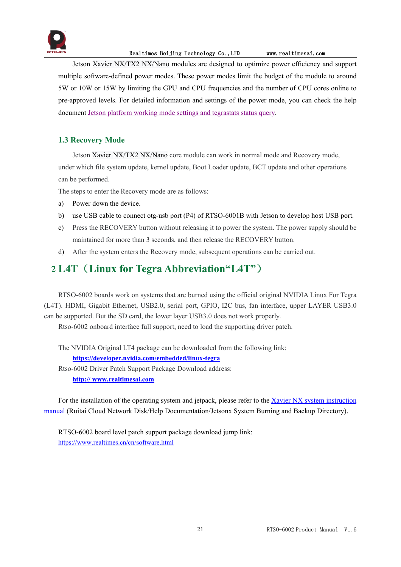

#### Realtimes Beijing Technology Co.,LTD www.realtimesai.com

Jetson Xavier NX/TX2 NX/Nano modules are designed to optimize power efficiency and support multiple software-defined power modes. These power modes limit the budget of the module to around 5W or 10W or 15W by limiting the GPU and CPU frequencies and the number of CPU cores onlineto pre-approved levels. For detailed information and settings of the power mode, you can check the help document Jetson platform working mode settings and [tegrastats](http://yun.realtimes.cn/) status query.

## <span id="page-21-0"></span>**1.3 Recovery Mode**

Jetson Xavier NX/TX2 NX/Nano core module can work in normal mode and Recovery mode, under which file system update, kernel update, Boot Loader update, BCT update and other operations can be performed.

The steps to enter the Recovery mode are as follows:

- a) Power down the device.
- b) use USB cable to connect otg-usb port (P4) of RTSO-6001B with Jetson to develop host USB port.
- c) Press the RECOVERY button without releasing it to power the system. The power supply should be maintained for more than 3 seconds, and then release the RECOVERY button.
- d) After the system enters the Recovery mode, subsequent operations can be carried out.

## <span id="page-21-1"></span>**2 L4T**(**Linux for Tegra Abbreviation"L4T"**)

RTSO-6002 boards work on systems that are burned using the official original NVIDIA Linux For Tegra (L4T). HDMI, Gigabit Ethernet, USB2.0, serial port, GPIO, I2C bus, fan interface, upper LAYER USB3.0 can be supported. But the SD card, the lower layer USB3.0 does not work properly.

Rtso-6002 onboard interface full support, need to load the supporting driver patch.

The NVIDIA Original LT4 package can be downloaded from the following link: **<https://developer.nvidia.com/embedded/linux-tegra>** Rtso-6002 Driver Patch Support Package Download address: **http:// [www.realtimesai.com](https://www.realtimesai.com/en/software.html)**

For the installation of the operating system and jetpack, please refer to the Xavier NX system [instruction](http://yun.realtimes.cn/) manual (Ruitai Cloud Network Disk/Help Documentation/Jetsonx System Burning and Backup Directory).<br>RTSO-6002 board level patch support package download jump link:

<https://www.realtimes.cn/cn/software.html>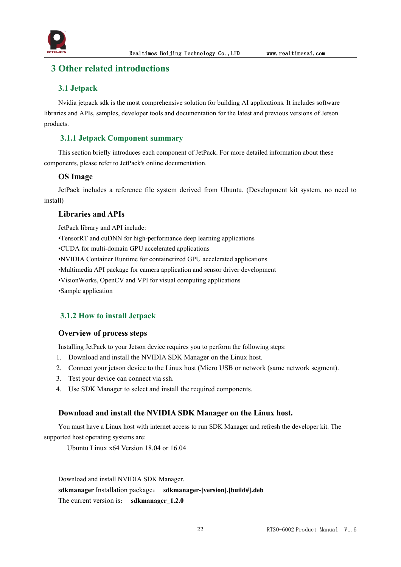

## <span id="page-22-0"></span>**3 Other related introductions**

#### <span id="page-22-1"></span>**3.1 Jetpack**

Nvidia jetpack sdk is the most comprehensive solution for building AI applications. It includes software libraries and APIs, samples, developer tools and documentation for the latest and previous versions of Jetson products.

### <span id="page-22-2"></span>**3.1.1 Jetpack Component summary**

This section briefly introduces each component of JetPack. For more detailed information about these components, please refer to JetPack's online documentation.

#### **OS Image**

JetPack includes a reference file system derived from Ubuntu. (Development kit system, no need to install)

#### **Libraries and APIs**

JetPack library and API include:

•TensorRT and cuDNN for high-performance deep learning applications

•CUDA for multi-domain GPU accelerated applications

•NVIDIA Container Runtime for containerized GPU accelerated applications

•Multimedia API package for camera application and sensor driver development

•VisionWorks, OpenCV and VPI for visual computing applications

•Sample application

#### <span id="page-22-3"></span>**3.1.2 How to install Jetpack**

#### **Overview of process steps**

Installing JetPack to your Jetson device requires you to perform the following steps:

- 1. Download and install the NVIDIA SDK Manager on the Linux host.
- 2. Connect your jetson device to the Linux host (Micro USB or network (same network segment).
- 3. Test your device can connect via ssh.
- 4. Use SDK Manager to select and install the required components.

#### **Download and install the NVIDIA SDK Manager on the Linux host.**

You must have a Linux host with internet access to run SDK Manager and refresh the developer kit.The supported host operating systems are:

Ubuntu Linux x64 Version 18.04 or 16.04

Download and install NVIDIA SDK Manager. **sdkmanager** Installation package: **sdkmanager-[version].[build#].deb** The current version is: **sdkmanager** 1.2.0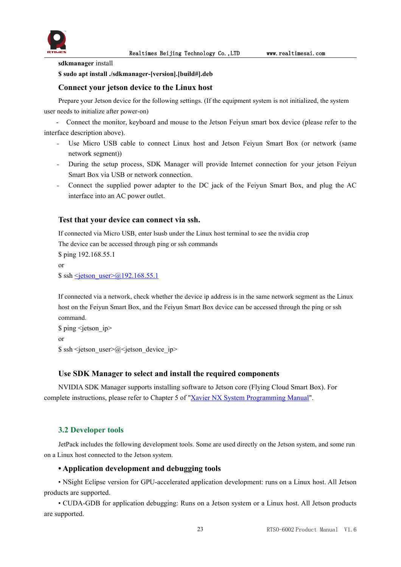

**sdkmanager** install

**\$ sudo apt install ./sdkmanager-[version].[build#].deb**

#### **Connect your jetson device to the Linux host**

Prepare your Jetson device for the following settings. (If the equipment system is not initialized, the system user needs to initialize after power-on)

- Connect the monitor, keyboard and mouse to the Jetson Feiyun smart box device (please refer to the interface description above).

- Use Micro USB cable to connect Linux host and Jetson Feiyun Smart Box (or network (same network segment))
- During the setup process, SDK Manager will provide Internet connection for your jetson Feiyun Smart Box via USB or network connection.
- Connect the supplied power adapter to the DC jack of the Feiyun Smart Box, and plug the AC interface into an AC power outlet.

#### **Test that your device can connect via ssh.**

If connected via Micro USB, enter lsusb under the Linux host terminal to see the nvidia crop

The device can be accessed through ping or ssh commands

\$ ping 192.168.55.1 or  $$ sh \leq$ jetson user $\geq$ @192.168.55.1

If connected via a network, check whether the device ip address is in the same network segment as the Linux host on the Feiyun Smart Box, and the Feiyun Smart Box device can be accessed through the ping or ssh command.

\$ ping <jetson\_ip> or  $\$  ssh <jetson user> $@$  <jetson device ip>

#### **Use SDK Manager to select and install the required components**

NVIDIA SDK Manager supports installing software to Jetson core (Flying Cloud Smart Box). For complete instructions, please referto Chapter 5 of "Xavier NX System [Programming](http://yun.realtimes.cn/) Manual".

#### <span id="page-23-0"></span>**3.2 Developer tools**

JetPack includes the following development tools. Some are used directly on the Jetson system, and some run on a Linux host connected to the Jetson system.

#### **• Application development and debugging tools**

• NSight Eclipse version for GPU-accelerated application development: runs on a Linux host. All Jetson products are supported.

• CUDA-GDB for application debugging: Runs on a Jetson system or a Linux host. All Jetson products are supported.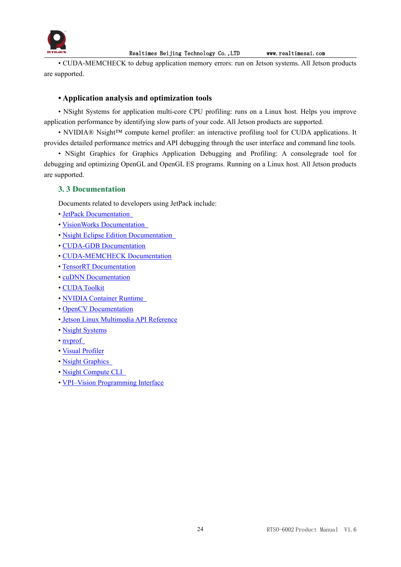

• CUDA-MEMCHECK to debug application memory errors: run on Jetson systems. All Jetson products are supported.

## **• Application analysis and optimization tools**

• NSight Systems for application multi-core CPU profiling: runs on a Linux host. Helps you improve application performance by identifying slow parts of your code. All Jetson products are supported.

• NVIDIA® Nsight™ compute kernel profiler: an interactive profiling tool for CUDA applications. It provides detailed performance metrics and API debugging through the user interface and command line tools.

• NSight Graphics for Graphics Application Debugging and Profiling: A consolegrade tool for debugging and optimizing OpenGL and OpenGL ES programs. Running on a Linux host. All Jetson products are supported.

### <span id="page-24-0"></span>**3. 3 Documentation**

Documents related to developers using JetPack include:

- JetPack [Documentation](https://docs.nvidia.com/jetson/jetpack/index.html)
- VisionWorks [Documentation](https://developer.nvidia.com/embedded/visionworks)
- Nsight Eclipse Edition [Documentation](https://docs.nvidia.com/cuda/nsight-eclipse-edition-getting-started-guide/index.html)
- CUDA-GDB [Documentation](http://docs.nvidia.com/cuda/cuda-gdb/index.html)
- [CUDA-MEMCHECK](http://docs.nvidia.com/cuda/cuda-memcheck/index.html) Documentation
- TensorRT [Documentation](https://docs.nvidia.com/deeplearning/sdk/tensorrt-developer-guide/index.html)
- cuDNN [Documentation](https://docs.nvidia.com/deeplearning/sdk/cudnn-developer-guide/index.html)
- CUDA [Toolkit](https://docs.nvidia.com/cuda/index.html)
- NVIDIA [Container](https://www.google.com/url?q=https://github.com/NVIDIA/nvidia-docker/wiki%23platform-support&sa=D&ust=1562106101392000&usg=AFQjCNG6YZBlyXRWjcpGIYF8fkBkYt9RsA) Runtime
- OpenCV [Documentation](https://developer.nvidia.com/opencv)
- Jetson Linux [Multimedia](https://docs.nvidia.com/jetson/l4t-multimedia/index.html) API Reference
- Nsight [Systems](https://docs.nvidia.com/nsight-systems/index.html)
- [nvprof](https://docs.nvidia.com/cuda/profiler-users-guide/index.html)
- Visual [Profiler](http://docs.nvidia.com/cuda/profiler-users-guide/index.html)
- Nsight [Graphics](https://docs.nvidia.com/nsight-graphics/index.html)
- Nsight [Compute](https://docs.nvidia.com/nsight-compute/NsightComputeCli/index.html) CLI
- VPI–Vision [Programming](https://docs.nvidia.com/vpi/index.html) Interface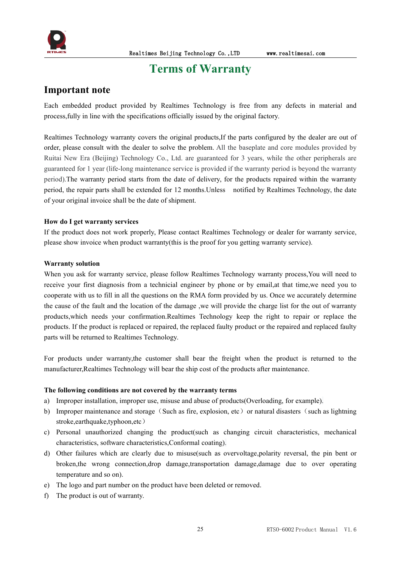

## <span id="page-25-0"></span>**Terms** of Warranty

## **Important note**

Each embedded product provided by Realtimes Technology is free from any defects in material and process,fully in line with the specifications officially issued by the original factory.

Realtimes Technology warranty covers the original products,If the parts configured by the dealer are out of order, please consult with the dealer to solve the problem. All the baseplate and core modules provided by Ruitai New Era (Beijing) Technology Co., Ltd. are guaranteed for 3 years, while the other peripherals are guaranteed for 1 year (life-long maintenance service is provided if the warranty period is beyond the warranty period).The warranty period starts from the date of delivery, for the products repaired within the warranty period, the repair parts shall be extended for 12 months.Unless notified by Realtimes Technology, the date of your original invoice shall be the date of shipment.

#### **How do I get warranty services**

If the product does not work properly, Please contact Realtimes Technology or dealer for warranty service, please show invoice when product warranty(this is the proof for you getting warranty service).

#### **Warranty solution**

When you ask for warranty service, please follow Realtimes Technology warranty process, You will need to receive your first diagnosis from a technicial engineer by phone or by email,at that time,we need you to cooperate with us to fill in all the questions on the RMA form provided by us. Once we accurately determine the cause of the fault and the location of the damage ,we will provide the charge list for the out of warranty products, which needs your confirmation.Realtimes Technology keep the right to repair or replace the products. If the product is replaced or repaired, the replaced faulty product or the repaired and replaced faulty parts will be returned to Realtimes Technology.

For products under warranty,the customer shall bear the freight when the product is returned to the manufacturer,Realtimes Technology will bear the ship cost of the products after maintenance.

#### **The following conditions are not covered by the warranty terms**

- a) Improper installation, improper use, misuse and abuse of products(Overloading, for example).
- b) Improper maintenance and storage (Such as fire, explosion, etc) or natural disasters (such as lightning stroke,earthquake,typhoon,etc)
- c) Personal unauthorized changing the product(such as changing circuit characteristics, mechanical characteristics, software characteristics,Conformal coating).
- d) Other failures which are clearly due to misuse(such as overvoltage,polarity reversal, the pin bent or broken,the wrong connection,drop damage,transportation damage,damage due to over operating temperature and so on).
- e) The logo and part number on the product have been deleted or removed.
- f) The product is out of warranty.